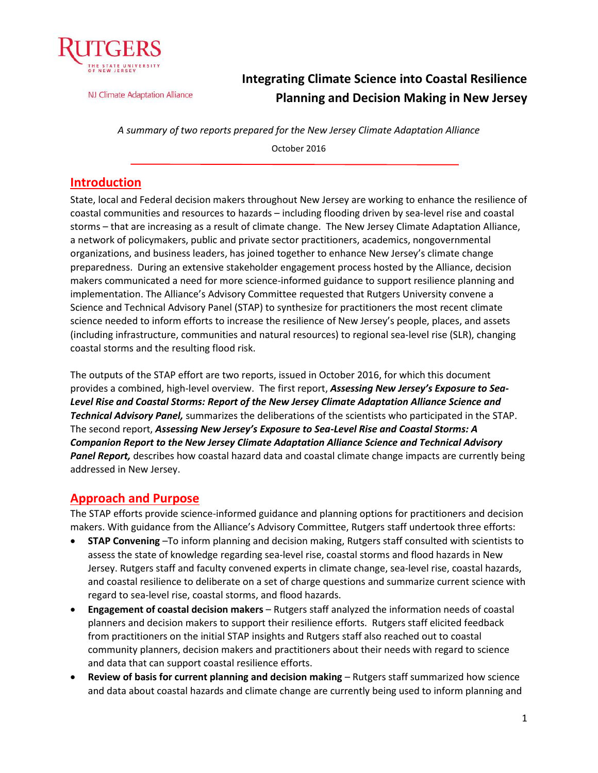

NJ Climate Adaptation Alliance

# **Integrating Climate Science into Coastal Resilience Planning and Decision Making in New Jersey**

*A summary of two reports prepared for the New Jersey Climate Adaptation Alliance* 

October 2016

## **Introduction**

State, local and Federal decision makers throughout New Jersey are working to enhance the resilience of coastal communities and resources to hazards – including flooding driven by sea-level rise and coastal storms – that are increasing as a result of climate change. The New Jersey Climate Adaptation Alliance, a network of policymakers, public and private sector practitioners, academics, nongovernmental organizations, and business leaders, has joined together to enhance New Jersey's climate change preparedness. During an extensive stakeholder engagement process hosted by the Alliance, decision makers communicated a need for more science-informed guidance to support resilience planning and implementation. The Alliance's Advisory Committee requested that Rutgers University convene a Science and Technical Advisory Panel (STAP) to synthesize for practitioners the most recent climate science needed to inform efforts to increase the resilience of New Jersey's people, places, and assets (including infrastructure, communities and natural resources) to regional sea-level rise (SLR), changing coastal storms and the resulting flood risk.

The outputs of the STAP effort are two reports, issued in October 2016, for which this document provides a combined, high-level overview. The first report, *Assessing New Jersey's Exposure to Sea-Level Rise and Coastal Storms: Report of the New Jersey Climate Adaptation Alliance Science and Technical Advisory Panel,* summarizes the deliberations of the scientists who participated in the STAP. The second report, *Assessing New Jersey's Exposure to Sea-Level Rise and Coastal Storms: A Companion Report to the New Jersey Climate Adaptation Alliance Science and Technical Advisory Panel Report,* describes how coastal hazard data and coastal climate change impacts are currently being addressed in New Jersey.

## **Approach and Purpose**

The STAP efforts provide science-informed guidance and planning options for practitioners and decision makers. With guidance from the Alliance's Advisory Committee, Rutgers staff undertook three efforts:

- **STAP Convening** –To inform planning and decision making, Rutgers staff consulted with scientists to assess the state of knowledge regarding sea-level rise, coastal storms and flood hazards in New Jersey. Rutgers staff and faculty convened experts in climate change, sea-level rise, coastal hazards, and coastal resilience to deliberate on a set of charge questions and summarize current science with regard to sea-level rise, coastal storms, and flood hazards.
- **Engagement of coastal decision makers** Rutgers staff analyzed the information needs of coastal planners and decision makers to support their resilience efforts. Rutgers staff elicited feedback from practitioners on the initial STAP insights and Rutgers staff also reached out to coastal community planners, decision makers and practitioners about their needs with regard to science and data that can support coastal resilience efforts.
- **Review of basis for current planning and decision making** Rutgers staff summarized how science and data about coastal hazards and climate change are currently being used to inform planning and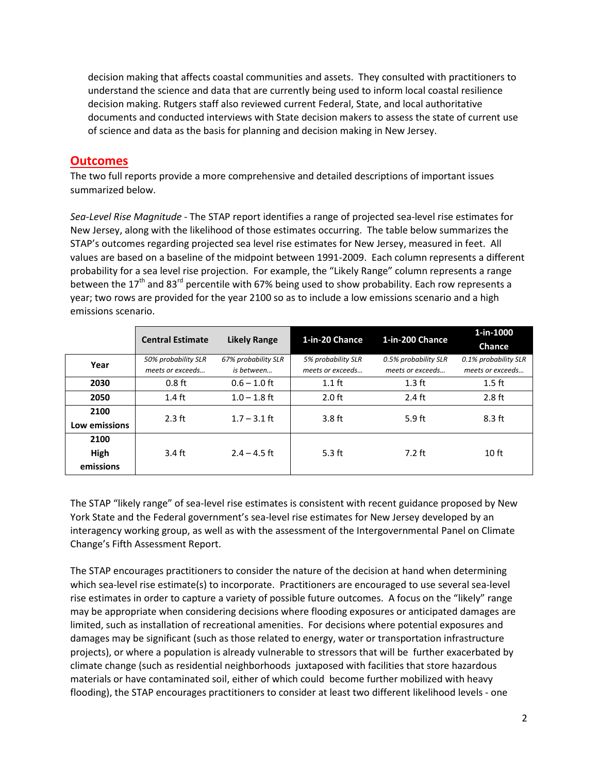decision making that affects coastal communities and assets. They consulted with practitioners to understand the science and data that are currently being used to inform local coastal resilience decision making. Rutgers staff also reviewed current Federal, State, and local authoritative documents and conducted interviews with State decision makers to assess the state of current use of science and data as the basis for planning and decision making in New Jersey.

### **Outcomes**

The two full reports provide a more comprehensive and detailed descriptions of important issues summarized below.

*Sea-Level Rise Magnitude* - The STAP report identifies a range of projected sea-level rise estimates for New Jersey, along with the likelihood of those estimates occurring. The table below summarizes the STAP's outcomes regarding projected sea level rise estimates for New Jersey, measured in feet. All values are based on a baseline of the midpoint between 1991-2009. Each column represents a different probability for a sea level rise projection. For example, the "Likely Range" column represents a range between the 17<sup>th</sup> and 83<sup>rd</sup> percentile with 67% being used to show probability. Each row represents a year; two rows are provided for the year 2100 so as to include a low emissions scenario and a high emissions scenario.

|               | <b>Central Estimate</b> | <b>Likely Range</b> | 1-in-20 Chance     | 1-in-200 Chance      | 1-in-1000<br>Chance  |
|---------------|-------------------------|---------------------|--------------------|----------------------|----------------------|
| Year          | 50% probability SLR     | 67% probability SLR | 5% probability SLR | 0.5% probability SLR | 0.1% probability SLR |
|               | meets or exceeds        | is between          | meets or exceeds   | meets or exceeds     | meets or exceeds     |
| 2030          | $0.8$ ft                | $0.6 - 1.0$ ft      | $1.1$ ft           | $1.3$ ft             | $1.5$ ft             |
| 2050          | $1.4$ ft                | $1.0 - 1.8$ ft      | $2.0$ ft           | $2.4$ ft             | $2.8$ ft             |
| 2100          | $2.3$ ft                | $1.7 - 3.1$ ft      | $3.8$ ft           | $5.9$ ft             | $8.3$ ft             |
| Low emissions |                         |                     |                    |                      |                      |
| 2100          |                         |                     |                    |                      |                      |
| High          | $3.4 \text{ ft}$        | $2.4 - 4.5$ ft      | $5.3$ ft           | $7.2$ ft             | 10 <sub>ft</sub>     |
| emissions     |                         |                     |                    |                      |                      |

The STAP "likely range" of sea-level rise estimates is consistent with recent guidance proposed by New York State and the Federal government's sea-level rise estimates for New Jersey developed by an interagency working group, as well as with the assessment of the Intergovernmental Panel on Climate Change's Fifth Assessment Report.

The STAP encourages practitioners to consider the nature of the decision at hand when determining which sea-level rise estimate(s) to incorporate. Practitioners are encouraged to use several sea-level rise estimates in order to capture a variety of possible future outcomes. A focus on the "likely" range may be appropriate when considering decisions where flooding exposures or anticipated damages are limited, such as installation of recreational amenities. For decisions where potential exposures and damages may be significant (such as those related to energy, water or transportation infrastructure projects), or where a population is already vulnerable to stressors that will be further exacerbated by climate change (such as residential neighborhoods juxtaposed with facilities that store hazardous materials or have contaminated soil, either of which could become further mobilized with heavy flooding), the STAP encourages practitioners to consider at least two different likelihood levels - one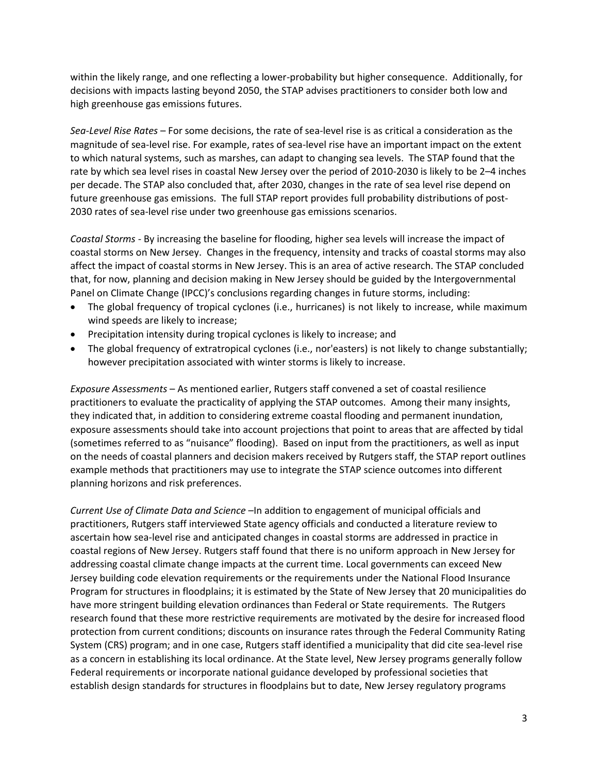within the likely range, and one reflecting a lower-probability but higher consequence. Additionally, for decisions with impacts lasting beyond 2050, the STAP advises practitioners to consider both low and high greenhouse gas emissions futures.

*Sea-Level Rise Rates* – For some decisions, the rate of sea-level rise is as critical a consideration as the magnitude of sea-level rise. For example, rates of sea-level rise have an important impact on the extent to which natural systems, such as marshes, can adapt to changing sea levels. The STAP found that the rate by which sea level rises in coastal New Jersey over the period of 2010-2030 is likely to be 2–4 inches per decade. The STAP also concluded that, after 2030, changes in the rate of sea level rise depend on future greenhouse gas emissions. The full STAP report provides full probability distributions of post-2030 rates of sea-level rise under two greenhouse gas emissions scenarios.

*Coastal Storms* - By increasing the baseline for flooding, higher sea levels will increase the impact of coastal storms on New Jersey. Changes in the frequency, intensity and tracks of coastal storms may also affect the impact of coastal storms in New Jersey. This is an area of active research. The STAP concluded that, for now, planning and decision making in New Jersey should be guided by the Intergovernmental Panel on Climate Change (IPCC)'s conclusions regarding changes in future storms, including:

- The global frequency of tropical cyclones (i.e., hurricanes) is not likely to increase, while maximum wind speeds are likely to increase;
- Precipitation intensity during tropical cyclones is likely to increase; and
- The global frequency of extratropical cyclones (i.e., nor'easters) is not likely to change substantially; however precipitation associated with winter storms is likely to increase.

*Exposure Assessments* – As mentioned earlier, Rutgers staff convened a set of coastal resilience practitioners to evaluate the practicality of applying the STAP outcomes. Among their many insights, they indicated that, in addition to considering extreme coastal flooding and permanent inundation, exposure assessments should take into account projections that point to areas that are affected by tidal (sometimes referred to as "nuisance" flooding). Based on input from the practitioners, as well as input on the needs of coastal planners and decision makers received by Rutgers staff, the STAP report outlines example methods that practitioners may use to integrate the STAP science outcomes into different planning horizons and risk preferences.

*Current Use of Climate Data and Science* –In addition to engagement of municipal officials and practitioners, Rutgers staff interviewed State agency officials and conducted a literature review to ascertain how sea-level rise and anticipated changes in coastal storms are addressed in practice in coastal regions of New Jersey. Rutgers staff found that there is no uniform approach in New Jersey for addressing coastal climate change impacts at the current time. Local governments can exceed New Jersey building code elevation requirements or the requirements under the National Flood Insurance Program for structures in floodplains; it is estimated by the State of New Jersey that 20 municipalities do have more stringent building elevation ordinances than Federal or State requirements. The Rutgers research found that these more restrictive requirements are motivated by the desire for increased flood protection from current conditions; discounts on insurance rates through the Federal Community Rating System (CRS) program; and in one case, Rutgers staff identified a municipality that did cite sea-level rise as a concern in establishing its local ordinance. At the State level, New Jersey programs generally follow Federal requirements or incorporate national guidance developed by professional societies that establish design standards for structures in floodplains but to date, New Jersey regulatory programs